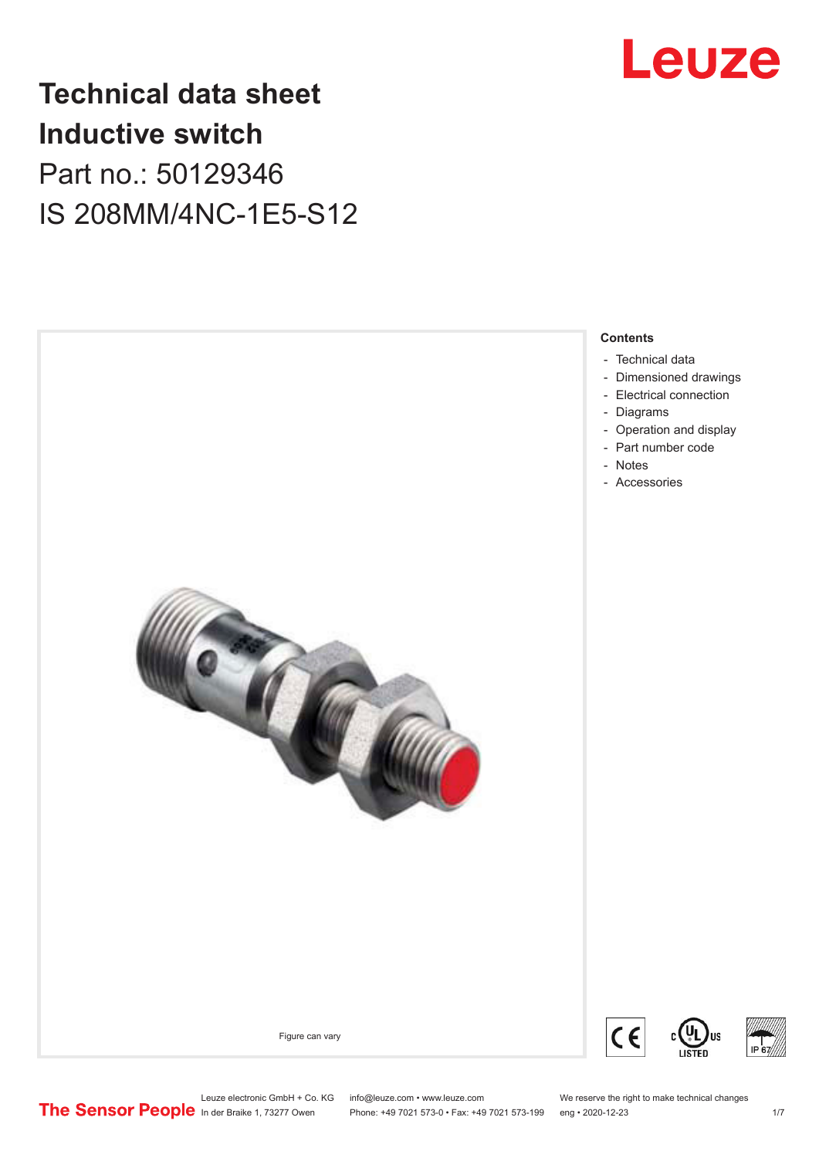

# **Technical data sheet Inductive switch** Part no.: 50129346 IS 208MM/4NC-1E5-S12



- [Electrical connection](#page-2-0)
- [Diagrams](#page-3-0)

**Contents**

- [Operation and display](#page-3-0)
- [Part number code](#page-4-0)
- Notes
- [Accessories](#page-5-0)



### Figure can vary





US

Leuze electronic GmbH + Co. KG info@leuze.com • www.leuze.com We reserve the right to make technical changes<br>
The Sensor People in der Braike 1, 73277 Owen Phone: +49 7021 573-0 • Fax: +49 7021 573-199 eng • 2020-12-23

Phone: +49 7021 573-0 • Fax: +49 7021 573-199 eng • 2020-12-23 1 /7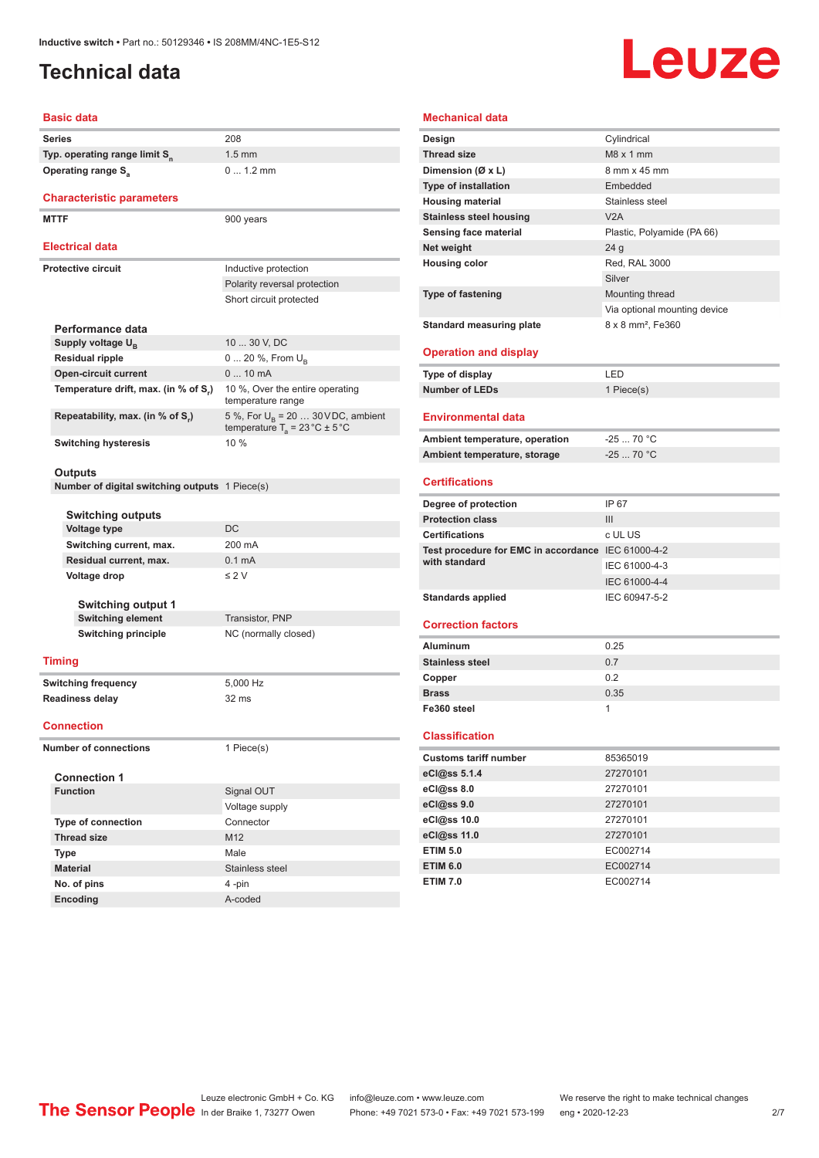# <span id="page-1-0"></span>**Technical data**

# Leuze

#### **Basic data**

| <b>Series</b>                             | 208 |
|-------------------------------------------|-----|
| Typ. operating range limit S <sub>n</sub> | 1.5 |
| Operating range S <sub>3</sub>            |     |

#### **Characteristic parameters**

**MTTF** 900 years

### **Electrical data**

| <b>Electrical data</b>               |                                                                                                |
|--------------------------------------|------------------------------------------------------------------------------------------------|
| Protective circuit                   | Inductive protection                                                                           |
|                                      | Polarity reversal protection                                                                   |
|                                      | Short circuit protected                                                                        |
|                                      |                                                                                                |
| Performance data                     |                                                                                                |
| Supply voltage $U_{\rm B}$           | 10  30 V, DC                                                                                   |
| <b>Residual ripple</b>               | $0 20 \%$ , From $U_{p}$                                                                       |
| <b>Open-circuit current</b>          | $010$ mA                                                                                       |
| Temperature drift, max. (in % of S.) | 10 %, Over the entire operating<br>temperature range                                           |
| Repeatability, max. (in % of S.)     | 5 %, For $U_{\rm B}$ = 20  30 VDC, ambient<br>temperature $T_a = 23 \degree C \pm 5 \degree C$ |
| <b>Switching hysteresis</b>          | 10%                                                                                            |

1.5 mm

0 ... 1.2 mm

#### **Outputs**

**Number of digital switching outputs** 1 Piece(s)

|              | <b>Switching outputs</b><br>Voltage type | DC                   |  |
|--------------|------------------------------------------|----------------------|--|
|              | Switching current, max.                  | 200 mA               |  |
|              | Residual current, max.                   | $0.1 \text{ mA}$     |  |
| Voltage drop |                                          | $\leq$ 2 V           |  |
|              |                                          |                      |  |
|              | <b>Switching output 1</b>                |                      |  |
|              | <b>Switching element</b>                 | Transistor, PNP      |  |
|              | Switching principle                      | NC (normally closed) |  |
|              |                                          |                      |  |
|              | mina                                     |                      |  |

### **Timing**

**Switching frequency** 5,000 Hz **Readiness delay** 32 ms

#### **Connection**

**Number of connections** 1 Piece(s)

| <b>Connection 1</b>       |                 |
|---------------------------|-----------------|
| <b>Function</b>           | Signal OUT      |
|                           | Voltage supply  |
| <b>Type of connection</b> | Connector       |
| <b>Thread size</b>        | M <sub>12</sub> |
| <b>Type</b>               | Male            |
| <b>Material</b>           | Stainless steel |
| No. of pins               | 4-pin           |
| <b>Encoding</b>           | A-coded         |

# **Design** Cylindrical

**Mechanical data**

| <b>Thread size</b>                                 | $M8 \times 1$ mm              |
|----------------------------------------------------|-------------------------------|
| Dimension (Ø x L)                                  | 8 mm x 45 mm                  |
| <b>Type of installation</b>                        | Embedded                      |
| <b>Housing material</b>                            | Stainless steel               |
| <b>Stainless steel housing</b>                     | V2A                           |
| Sensing face material                              | Plastic, Polyamide (PA 66)    |
| Net weight                                         | 24 <sub>g</sub>               |
| <b>Housing color</b>                               | Red, RAL 3000                 |
|                                                    | Silver                        |
| <b>Type of fastening</b>                           | Mounting thread               |
|                                                    | Via optional mounting device  |
| <b>Standard measuring plate</b>                    | 8 x 8 mm <sup>2</sup> , Fe360 |
|                                                    |                               |
| <b>Operation and display</b>                       |                               |
| <b>Type of display</b>                             | LED                           |
| <b>Number of LEDs</b>                              | 1 Piece(s)                    |
|                                                    |                               |
| <b>Environmental data</b>                          |                               |
| Ambient temperature, operation                     | $-2570 °C$                    |
| Ambient temperature, storage                       | $-25$ 70 °C                   |
|                                                    |                               |
| <b>Certifications</b>                              |                               |
| Degree of protection                               | IP 67                         |
| <b>Protection class</b>                            | III                           |
| <b>Certifications</b>                              | c UL US                       |
| Test procedure for EMC in accordance IEC 61000-4-2 |                               |
| with standard                                      |                               |
|                                                    | IEC 61000-4-3                 |
|                                                    | IEC 61000-4-4                 |
| <b>Standards applied</b>                           | IEC 60947-5-2                 |
|                                                    |                               |
| <b>Correction factors</b>                          |                               |
| <b>Aluminum</b>                                    | 0.25                          |
| <b>Stainless steel</b>                             | 0.7                           |
| Copper                                             | 0.2                           |
| <b>Brass</b>                                       | 0.35                          |
| Fe360 steel                                        | 1                             |
| <b>Classification</b>                              |                               |
| <b>Customs tariff number</b>                       | 85365019                      |
|                                                    |                               |
| eCl@ss 5.1.4                                       | 27270101                      |
| eCl@ss 8.0                                         | 27270101<br>27270101          |
| eCl@ss 9.0                                         | 27270101                      |
| eCl@ss 10.0<br>eCl@ss 11.0                         | 27270101                      |
| <b>ETIM 5.0</b>                                    | EC002714                      |
| <b>ETIM 6.0</b>                                    | EC002714                      |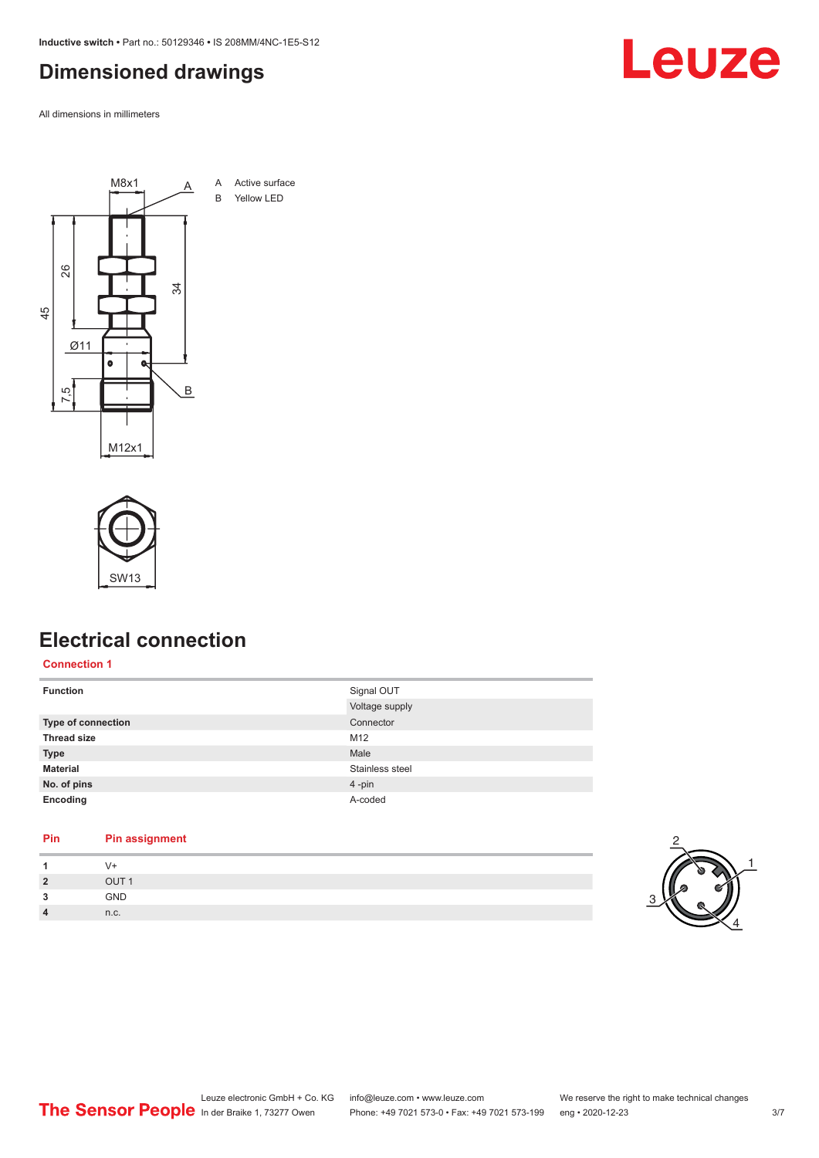<span id="page-2-0"></span>**Inductive switch •** Part no.: 50129346 **•** IS 208MM/4NC-1E5-S12

# **Dimensioned drawings**

All dimensions in millimeters





# **Electrical connection**

**Connection 1**

| <b>Function</b>    | Signal OUT      |
|--------------------|-----------------|
|                    | Voltage supply  |
| Type of connection | Connector       |
| <b>Thread size</b> | M12             |
| <b>Type</b>        | Male            |
| <b>Material</b>    | Stainless steel |
| No. of pins        | 4-pin           |
| Encoding           | A-coded         |

### **Pin Pin assignment**

|   | v-         |  |
|---|------------|--|
| ຳ | OIII1      |  |
| e | <b>GND</b> |  |
| 4 | n.c.       |  |



# Leuze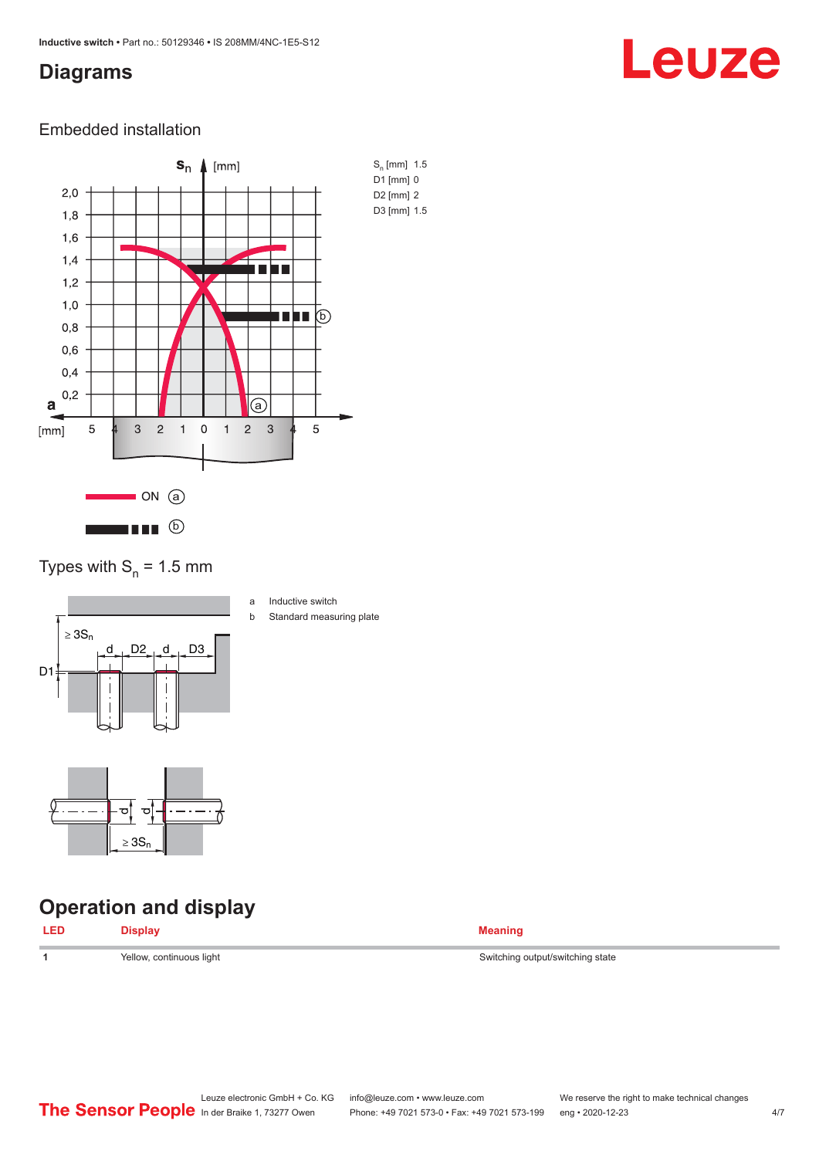### <span id="page-3-0"></span>**Diagrams**

# Leuze

### Embedded installation



Types with  $S_n = 1.5$  mm



- a Inductive switch
- b Standard measuring plate

# **Operation and display**

ರ

≥ 3S<sup>n</sup>

ರ∥



**1 1** Switching output/switching state Switching output/switching state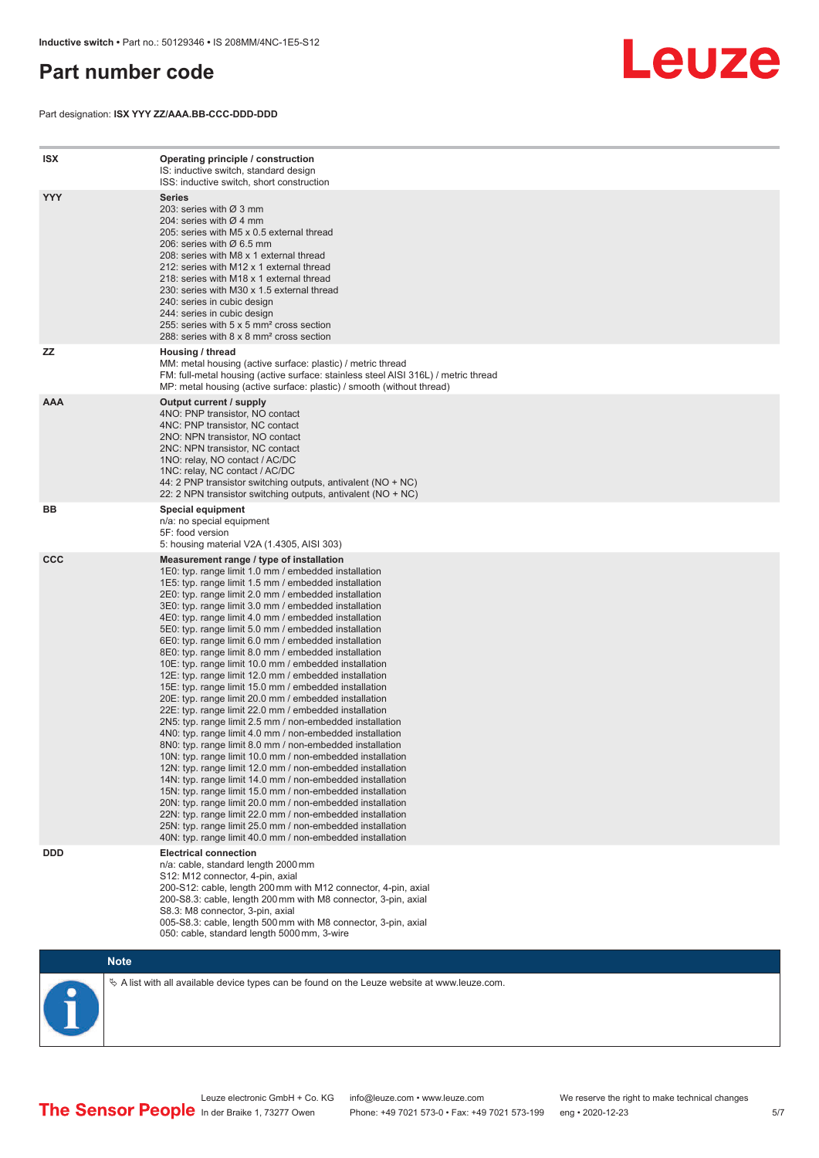# <span id="page-4-0"></span>**Part number code**

Part designation: **ISX YYY ZZ/AAA.BB-CCC-DDD-DDD**



| <b>ISX</b> | Operating principle / construction<br>IS: inductive switch, standard design<br>ISS: inductive switch, short construction                                                                                                                                                                                                                                                                                                                                                                                                                                                                                                                                                                                                                                                                                                                                                                                                                                                                                                                                                                                                                                                                                                                                                                                                                                                                                                                                                                          |
|------------|---------------------------------------------------------------------------------------------------------------------------------------------------------------------------------------------------------------------------------------------------------------------------------------------------------------------------------------------------------------------------------------------------------------------------------------------------------------------------------------------------------------------------------------------------------------------------------------------------------------------------------------------------------------------------------------------------------------------------------------------------------------------------------------------------------------------------------------------------------------------------------------------------------------------------------------------------------------------------------------------------------------------------------------------------------------------------------------------------------------------------------------------------------------------------------------------------------------------------------------------------------------------------------------------------------------------------------------------------------------------------------------------------------------------------------------------------------------------------------------------------|
| <b>YYY</b> | <b>Series</b><br>203: series with Ø 3 mm<br>204: series with $\varnothing$ 4 mm<br>205: series with M5 x 0.5 external thread<br>206: series with $\varnothing$ 6.5 mm<br>208: series with M8 x 1 external thread<br>212: series with M12 x 1 external thread<br>218: series with M18 x 1 external thread<br>230: series with M30 x 1.5 external thread<br>240: series in cubic design<br>244: series in cubic design<br>255: series with 5 x 5 mm <sup>2</sup> cross section<br>288: series with 8 x 8 mm <sup>2</sup> cross section                                                                                                                                                                                                                                                                                                                                                                                                                                                                                                                                                                                                                                                                                                                                                                                                                                                                                                                                                              |
| ZZ         | Housing / thread<br>MM: metal housing (active surface: plastic) / metric thread<br>FM: full-metal housing (active surface: stainless steel AISI 316L) / metric thread<br>MP: metal housing (active surface: plastic) / smooth (without thread)                                                                                                                                                                                                                                                                                                                                                                                                                                                                                                                                                                                                                                                                                                                                                                                                                                                                                                                                                                                                                                                                                                                                                                                                                                                    |
| <b>AAA</b> | Output current / supply<br>4NO: PNP transistor, NO contact<br>4NC: PNP transistor, NC contact<br>2NO: NPN transistor, NO contact<br>2NC: NPN transistor, NC contact<br>1NO: relay, NO contact / AC/DC<br>1NC: relay, NC contact / AC/DC<br>44: 2 PNP transistor switching outputs, antivalent (NO + NC)<br>22: 2 NPN transistor switching outputs, antivalent (NO + NC)                                                                                                                                                                                                                                                                                                                                                                                                                                                                                                                                                                                                                                                                                                                                                                                                                                                                                                                                                                                                                                                                                                                           |
| BB         | <b>Special equipment</b><br>n/a: no special equipment<br>5F: food version<br>5: housing material V2A (1.4305, AISI 303)                                                                                                                                                                                                                                                                                                                                                                                                                                                                                                                                                                                                                                                                                                                                                                                                                                                                                                                                                                                                                                                                                                                                                                                                                                                                                                                                                                           |
| <b>CCC</b> | Measurement range / type of installation<br>1E0: typ. range limit 1.0 mm / embedded installation<br>1E5: typ. range limit 1.5 mm / embedded installation<br>2E0: typ. range limit 2.0 mm / embedded installation<br>3E0: typ. range limit 3.0 mm / embedded installation<br>4E0: typ. range limit 4.0 mm / embedded installation<br>5E0: typ. range limit 5.0 mm / embedded installation<br>6E0: typ. range limit 6.0 mm / embedded installation<br>8E0: typ. range limit 8.0 mm / embedded installation<br>10E: typ. range limit 10.0 mm / embedded installation<br>12E: typ. range limit 12.0 mm / embedded installation<br>15E: typ. range limit 15.0 mm / embedded installation<br>20E: typ. range limit 20.0 mm / embedded installation<br>22E: typ. range limit 22.0 mm / embedded installation<br>2N5: typ. range limit 2.5 mm / non-embedded installation<br>4N0: typ. range limit 4.0 mm / non-embedded installation<br>8N0: typ. range limit 8.0 mm / non-embedded installation<br>10N: typ. range limit 10.0 mm / non-embedded installation<br>12N: typ. range limit 12.0 mm / non-embedded installation<br>14N: typ. range limit 14.0 mm / non-embedded installation<br>15N: typ. range limit 15.0 mm / non-embedded installation<br>20N: typ. range limit 20.0 mm / non-embedded installation<br>22N: typ. range limit 22.0 mm / non-embedded installation<br>25N: typ. range limit 25.0 mm / non-embedded installation<br>40N: typ. range limit 40.0 mm / non-embedded installation |
| <b>DDD</b> | <b>Electrical connection</b><br>n/a: cable, standard length 2000 mm<br>S12: M12 connector, 4-pin, axial<br>200-S12: cable, length 200 mm with M12 connector, 4-pin, axial<br>200-S8.3: cable, length 200 mm with M8 connector, 3-pin, axial<br>S8.3: M8 connector, 3-pin, axial<br>005-S8.3: cable, length 500 mm with M8 connector, 3-pin, axial<br>050: cable, standard length 5000 mm, 3-wire                                                                                                                                                                                                                                                                                                                                                                                                                                                                                                                                                                                                                                                                                                                                                                                                                                                                                                                                                                                                                                                                                                  |

**Note**

 $\%$  A list with all available device types can be found on the Leuze website at www.leuze.com.

Leuze electronic GmbH + Co. KG info@leuze.com • www.leuze.com We reserve the right to make technical changes In der Braike 1, 73277 Owen Phone: +49 7021 573-0 • Fax: +49 7021 573-199 eng • 2020-12-23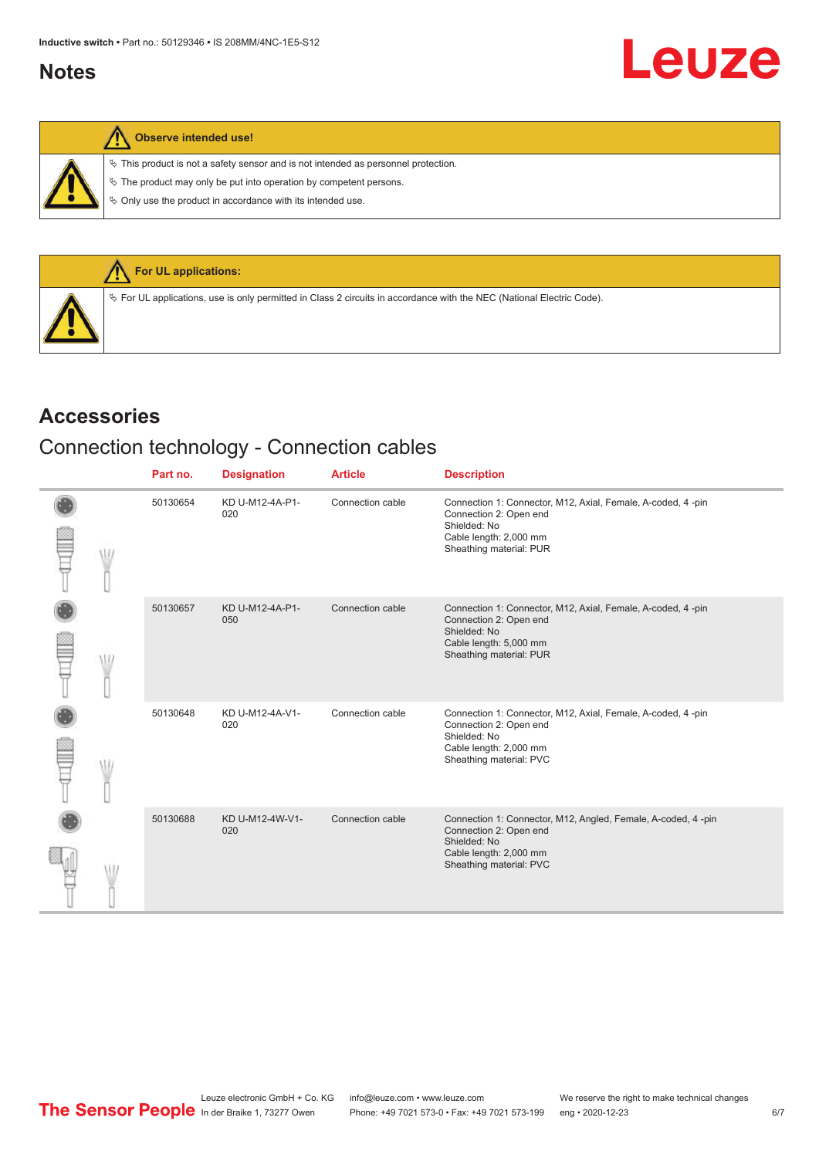# <span id="page-5-0"></span>**Notes**

|  |  | Observe intended use! |  |
|--|--|-----------------------|--|
|--|--|-----------------------|--|

 $\%$  This product is not a safety sensor and is not intended as personnel protection.

 $\&$  The product may only be put into operation by competent persons.

 $\%$  Only use the product in accordance with its intended use.



### **Accessories**

# Connection technology - Connection cables

|  | Part no. | <b>Designation</b>     | <b>Article</b>   | <b>Description</b>                                                                                                                                           |
|--|----------|------------------------|------------------|--------------------------------------------------------------------------------------------------------------------------------------------------------------|
|  | 50130654 | KD U-M12-4A-P1-<br>020 | Connection cable | Connection 1: Connector, M12, Axial, Female, A-coded, 4 -pin<br>Connection 2: Open end<br>Shielded: No<br>Cable length: 2,000 mm<br>Sheathing material: PUR  |
|  | 50130657 | KD U-M12-4A-P1-<br>050 | Connection cable | Connection 1: Connector, M12, Axial, Female, A-coded, 4-pin<br>Connection 2: Open end<br>Shielded: No<br>Cable length: 5,000 mm<br>Sheathing material: PUR   |
|  | 50130648 | KD U-M12-4A-V1-<br>020 | Connection cable | Connection 1: Connector, M12, Axial, Female, A-coded, 4 -pin<br>Connection 2: Open end<br>Shielded: No<br>Cable length: 2,000 mm<br>Sheathing material: PVC  |
|  | 50130688 | KD U-M12-4W-V1-<br>020 | Connection cable | Connection 1: Connector, M12, Angled, Female, A-coded, 4 -pin<br>Connection 2: Open end<br>Shielded: No<br>Cable length: 2,000 mm<br>Sheathing material: PVC |

Leuze